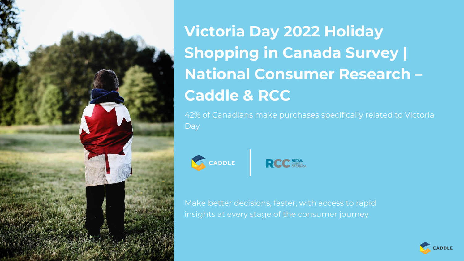

**Victoria Day 2022 Holiday Shopping in Canada Survey | National Consumer Research – Caddle & RCC**

42% of Canadians make purchases specifically related to Victoria Day



**RCC** COUNCIL

Make better decisions, faster, with access to rapid insights at every stage of the consumer journey

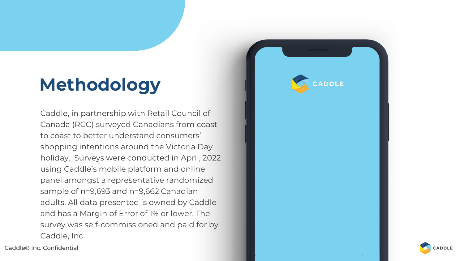# **Methodology**

Caddle, in partnership with Retail Council of Canada (RCC) surveyed Canadians from coast to coast to better understand consumers' shopping intentions around the Victoria Day holiday. Surveys were conducted in April, 2022 using Caddle's mobile platform and online panel amongst a representative randomized sample of n=9,693 and n=9,662 Canadian adults. All data presented is owned by Caddle and has a Margin of Error of 1% or lower. The survey was self-commissioned and paid for by Caddle, Inc.

Caddle® Inc. Confidential



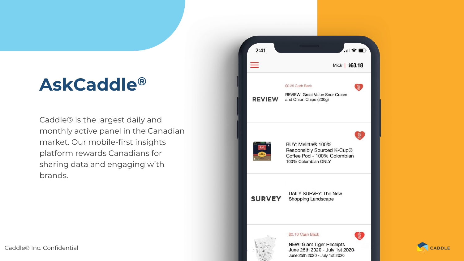## **AskCaddle®**

Caddle® is the largest daily and monthly active panel in the Canadian market. Our mobile-first insights platform rewards Canadians for sharing data and engaging with brands.



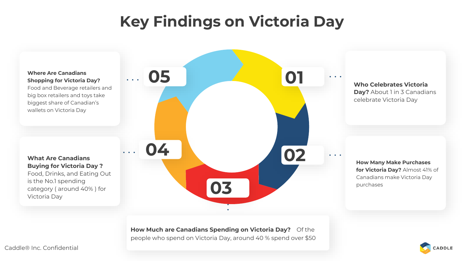## **Key Findings on Victoria Day**



**How Much are Canadians Spending on Victoria Day?** Of the people who spend on Victoria Day, around 40 % spend over \$50

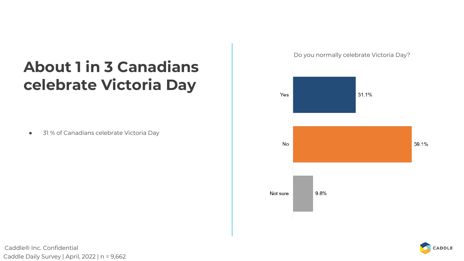## **About 1 in 3 Canadians celebrate Victoria Day**

● 31 % of Canadians celebrate Victoria Day

Do you normally celebrate Victoria Day?





Caddle® Inc. Confidential Caddle Daily Survey | April, 2022 | n = 9,662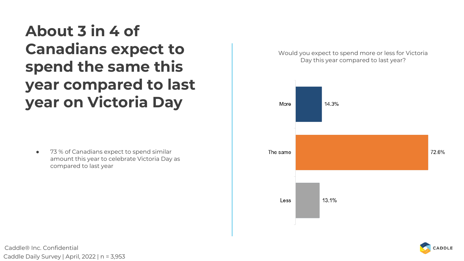**About 3 in 4 of Canadians expect to spend the same this year compared to last year on Victoria Day**

● 73 % of Canadians expect to spend similar amount this year to celebrate Victoria Day as compared to last year

Would you expect to spend more or less for Victoria Day this year compared to last year?





Caddle® Inc. Confidential Caddle Daily Survey | April, 2022 | n = 3,953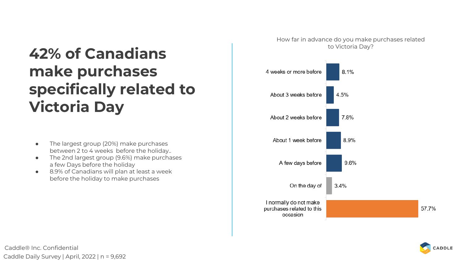## **42% of Canadians make purchases specifically related to Victoria Day**

- The largest group (20%) make purchases between 2 to 4 weeks before the holiday..
- The 2nd largest group (9.6%) make purchases a few Days before the holiday
- 8.9% of Canadians will plan at least a week before the holiday to make purchases

How far in advance do you make purchases related to Victoria Day?



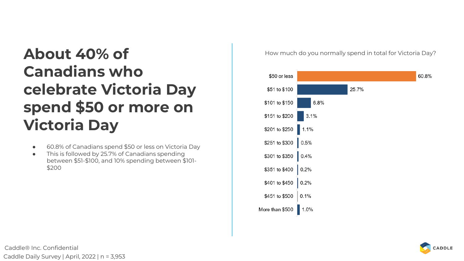## **About 40% of Canadians who celebrate Victoria Day spend \$50 or more on Victoria Day**

- 60.8% of Canadians spend \$50 or less on Victoria Day
- This is followed by 25.7% of Canadians spending between \$51-\$100, and 10% spending between \$101- \$200

How much do you normally spend in total for Victoria Day?



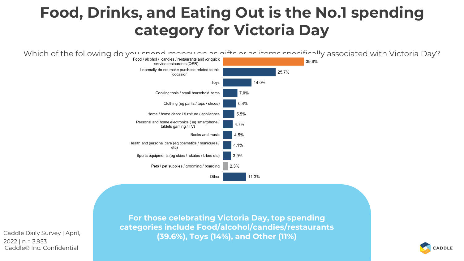### **Food, Drinks, and Eating Out is the No.1 spending category for Victoria Day**



Caddle® Inc. Confidential Caddle Daily Survey | April, 2022 | n = 3,953

**For those celebrating Victoria Day, top spending categories include Food/alcohol/candies/restaurants (39.6%), Toys (14%), and Other (11%)**

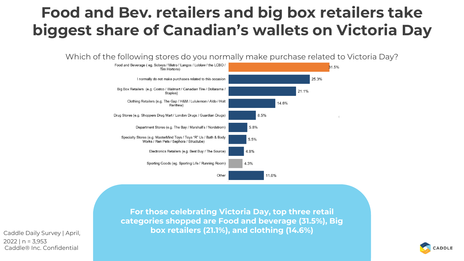## **Food and Bev. retailers and big box retailers take biggest share of Canadian's wallets on Victoria Day**

Which of the following stores do you normally make purchase related to Victoria Day?



Caddle® Inc. Confidential Caddle Daily Survey | April,  $2022$  | n = 3.953

**For those celebrating Victoria Day, top three retail categories shopped are Food and beverage (31.5%), Big box retailers (21.1%), and clothing (14.6%)**

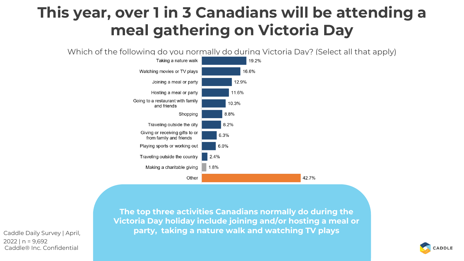## **This year, over 1 in 3 Canadians will be attending a meal gathering on Victoria Day**

Which of the following do you normally do during Victoria Day? (Select all that apply)



Caddle® Inc. Confidential Caddle Daily Survey | April, 2022 | n = 9,692

**The top three activities Canadians normally do during the Victoria Day holiday include joining and/or hosting a meal or party, taking a nature walk and watching TV plays**

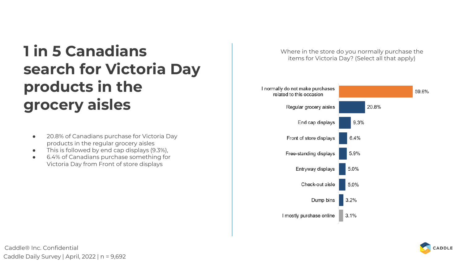## **1 in 5 Canadians search for Victoria Day products in the grocery aisles**

- 20.8% of Canadians purchase for Victoria Day products in the regular grocery aisles
- This is followed by end cap displays (9.3%),
- 6.4% of Canadians purchase something for Victoria Day from Front of store displays

Where in the store do you normally purchase the items for Victoria Day? (Select all that apply)



Caddle® Inc. Confidential Caddle Daily Survey | April, 2022 | n = 9,692

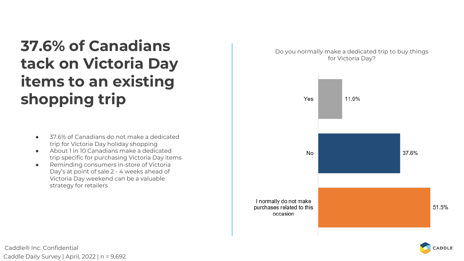## **37.6% of Canadians tack on Victoria Day items to an existing shopping trip**

- 37.6% of Canadians do not make a dedicated trip for Victoria Day holiday shopping
- About 1 in 10 Canadians make a dedicated trip specific for purchasing Victoria Day items
- Reminding consumers in-store of Victoria Day's at point of sale 2 - 4 weeks ahead of Victoria Day weekend can be a valuable strategy for retailers

Do you normally make a dedicated trip to buy things for Victoria Day?



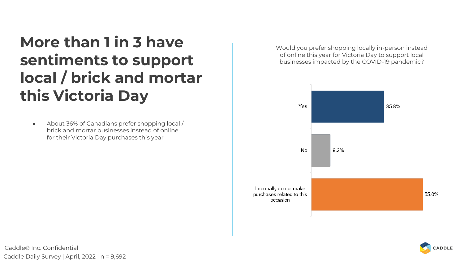## **More than 1 in 3 have sentiments to support local / brick and mortar this Victoria Day**

● About 36% of Canadians prefer shopping local / brick and mortar businesses instead of online for their Victoria Day purchases this year

Would you prefer shopping locally in-person instead of online this year for Victoria Day to support local businesses impacted by the COVID-19 pandemic?





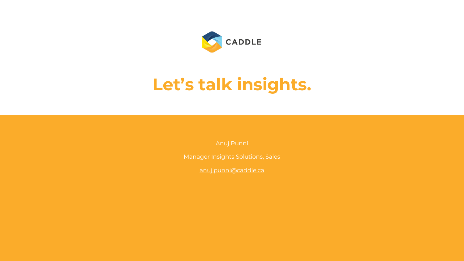

## **Let's talk insights.**

Manager Insights Solutions, Sales

[anuj.punni@caddle.ca](mailto:anuj.punni@caddle.ca)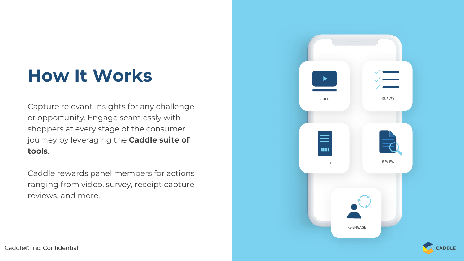## **How It Works**

Capture relevant insights for any challenge or opportunity. Engage seamlessly with shoppers at every stage of the consumer journey by leveraging the **Caddle suite of tools**.

Caddle rewards panel members for actions ranging from video, survey, receipt capture, reviews, and more.



CADDLE